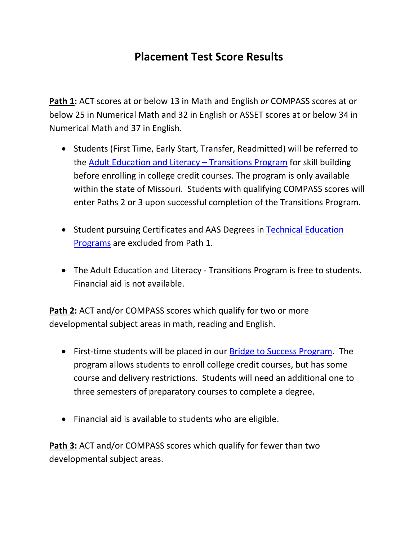## **Placement Test Score Results**

**Path 1:** ACT scores at or below 13 in Math and English *or* COMPASS scores at or below 25 in Numerical Math and 32 in English or ASSET scores at or below 34 in Numerical Math and 37 in English.

- Students (First Time, Early Start, Transfer, Readmitted) will be referred to the **[Adult Education and Literacy](http://www.otc.edu/adulteducation/adulteducation.php) - Transitions Program for skill building** before enrolling in college credit courses. The program is only available within the state of Missouri. Students with qualifying COMPASS scores will enter Paths 2 or 3 upon successful completion of the Transitions Program.
- Student pursuing Certificates and AAS Degrees in [Technical Education](http://www.otc.edu/programs/technicaleducation.php)  [Programs](http://www.otc.edu/programs/technicaleducation.php) are excluded from Path 1.
- The Adult Education and Literacy Transitions Program is free to students. Financial aid is not available.

**Path 2:** ACT and/or COMPASS scores which qualify for two or more developmental subject areas in math, reading and English.

- First-time students will be placed in our [Bridge to Success Program.](http://www.otc.edu/advising/bridgetosuccess.php) The program allows students to enroll college credit courses, but has some course and delivery restrictions. Students will need an additional one to three semesters of preparatory courses to complete a degree.
- Financial aid is available to students who are eligible.

**Path 3:** ACT and/or COMPASS scores which qualify for fewer than two developmental subject areas.